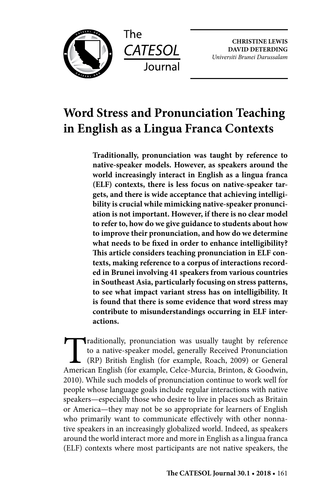



**CHRISTINE LEWIS DAVID DETERDING** *Universiti Brunei Darussalam*

# **Word Stress and Pronunciation Teaching in English as a Lingua Franca Contexts**

**Traditionally, pronunciation was taught by reference to native-speaker models. However, as speakers around the world increasingly interact in English as a lingua franca (ELF) contexts, there is less focus on native-speaker targets, and there is wide acceptance that achieving intelligibility is crucial while mimicking native-speaker pronunciation is not important. However, if there is no clear model to refer to, how do we give guidance to students about how to improve their pronunciation, and how do we determine what needs to be fixed in order to enhance intelligibility? This article considers teaching pronunciation in ELF contexts, making reference to a corpus of interactions recorded in Brunei involving 41 speakers from various countries in Southeast Asia, particularly focusing on stress patterns, to see what impact variant stress has on intelligibility. It is found that there is some evidence that word stress may contribute to misunderstandings occurring in ELF interactions.**

Traditionally, pronunciation was usually taught by reference<br>to a native-speaker model, generally Received Pronunciation<br>(RP) British English (for example, Roach, 2009) or General<br>American English (for example, Celce-Murci to a native-speaker model, generally Received Pronunciation (RP) British English (for example, Roach, 2009) or General American English (for example, Celce-Murcia, Brinton, & Goodwin, 2010). While such models of pronunciation continue to work well for people whose language goals include regular interactions with native speakers—especially those who desire to live in places such as Britain or America—they may not be so appropriate for learners of English who primarily want to communicate effectively with other nonnative speakers in an increasingly globalized world. Indeed, as speakers around the world interact more and more in English as a lingua franca (ELF) contexts where most participants are not native speakers, the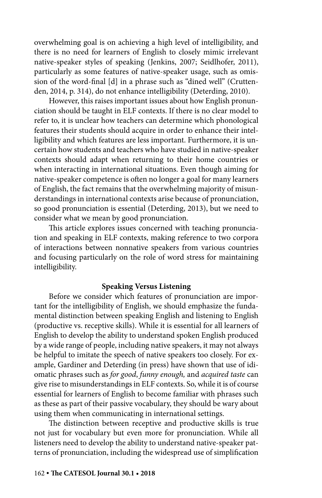overwhelming goal is on achieving a high level of intelligibility, and there is no need for learners of English to closely mimic irrelevant native-speaker styles of speaking (Jenkins, 2007; Seidlhofer, 2011), particularly as some features of native-speaker usage, such as omission of the word-final [d] in a phrase such as "dined well" (Cruttenden, 2014, p. 314), do not enhance intelligibility (Deterding, 2010).

However, this raises important issues about how English pronunciation should be taught in ELF contexts. If there is no clear model to refer to, it is unclear how teachers can determine which phonological features their students should acquire in order to enhance their intelligibility and which features are less important. Furthermore, it is uncertain how students and teachers who have studied in native-speaker contexts should adapt when returning to their home countries or when interacting in international situations. Even though aiming for native-speaker competence is often no longer a goal for many learners of English, the fact remains that the overwhelming majority of misunderstandings in international contexts arise because of pronunciation, so good pronunciation is essential (Deterding, 2013), but we need to consider what we mean by good pronunciation.

This article explores issues concerned with teaching pronunciation and speaking in ELF contexts, making reference to two corpora of interactions between nonnative speakers from various countries and focusing particularly on the role of word stress for maintaining intelligibility.

### **Speaking Versus Listening**

Before we consider which features of pronunciation are important for the intelligibility of English, we should emphasize the fundamental distinction between speaking English and listening to English (productive vs. receptive skills). While it is essential for all learners of English to develop the ability to understand spoken English produced by a wide range of people, including native speakers, it may not always be helpful to imitate the speech of native speakers too closely. For example, Gardiner and Deterding (in press) have shown that use of idiomatic phrases such as *for good*, *funny enough,* and *acquired taste* can give rise to misunderstandings in ELF contexts. So, while it is of course essential for learners of English to become familiar with phrases such as these as part of their passive vocabulary, they should be wary about using them when communicating in international settings.

The distinction between receptive and productive skills is true not just for vocabulary but even more for pronunciation. While all listeners need to develop the ability to understand native-speaker patterns of pronunciation, including the widespread use of simplification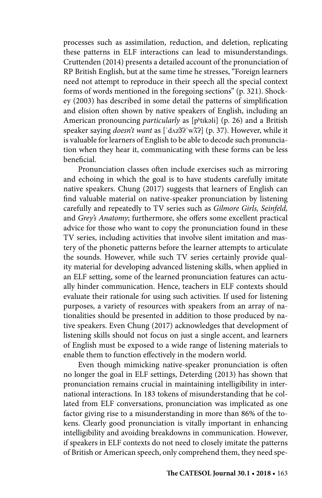processes such as assimilation, reduction, and deletion, replicating these patterns in ELF interactions can lead to misunderstandings. Cruttenden (2014) presents a detailed account of the pronunciation of RP British English, but at the same time he stresses, "Foreign learners need not attempt to reproduce in their speech all the special context forms of words mentioned in the foregoing sections" (p. 321). Shockey (2003) has described in some detail the patterns of simplification and elision often shown by native speakers of English, including an American pronouncing *particularly* as [pʰtɪkəli] (p. 26) and a British speaker saying *doesn't want* as ['dʌz͡ət'wxdl (p. 37). However, while it is valuable for learners of English to be able to decode such pronunciation when they hear it, communicating with these forms can be less beneficial.

Pronunciation classes often include exercises such as mirroring and echoing in which the goal is to have students carefully imitate native speakers. Chung (2017) suggests that learners of English can find valuable material on native-speaker pronunciation by listening carefully and repeatedly to TV series such as *Gilmore Girls, Seinfeld,* and *Grey's Anatomy*; furthermore, she offers some excellent practical advice for those who want to copy the pronunciation found in these TV series, including activities that involve silent imitation and mastery of the phonetic patterns before the learner attempts to articulate the sounds. However, while such TV series certainly provide quality material for developing advanced listening skills, when applied in an ELF setting, some of the learned pronunciation features can actually hinder communication. Hence, teachers in ELF contexts should evaluate their rationale for using such activities. If used for listening purposes, a variety of resources with speakers from an array of nationalities should be presented in addition to those produced by native speakers. Even Chung (2017) acknowledges that development of listening skills should not focus on just a single accent, and learners of English must be exposed to a wide range of listening materials to enable them to function effectively in the modern world.

Even though mimicking native-speaker pronunciation is often no longer the goal in ELF settings, Deterding (2013) has shown that pronunciation remains crucial in maintaining intelligibility in international interactions. In 183 tokens of misunderstanding that he collated from ELF conversations, pronunciation was implicated as one factor giving rise to a misunderstanding in more than 86% of the tokens. Clearly good pronunciation is vitally important in enhancing intelligibility and avoiding breakdowns in communication. However, if speakers in ELF contexts do not need to closely imitate the patterns of British or American speech, only comprehend them, they need spe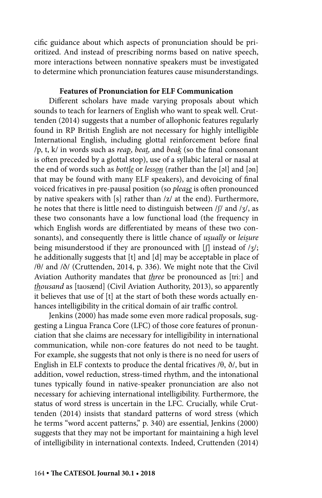cific guidance about which aspects of pronunciation should be prioritized. And instead of prescribing norms based on native speech, more interactions between nonnative speakers must be investigated to determine which pronunciation features cause misunderstandings.

#### **Features of Pronunciation for ELF Communication**

Different scholars have made varying proposals about which sounds to teach for learners of English who want to speak well. Cruttenden (2014) suggests that a number of allophonic features regularly found in RP British English are not necessary for highly intelligible International English, including glottal reinforcement before final /p, t, k/ in words such as *reap*, *beat,* and *beak* (so the final consonant is often preceded by a glottal stop), use of a syllabic lateral or nasal at the end of words such as *bottle* or *lesson* (rather than the [əl] and [ən] that may be found with many ELF speakers), and devoicing of final voiced fricatives in pre-pausal position (so *please* is often pronounced by native speakers with [s] rather than /z/ at the end). Furthermore, he notes that there is little need to distinguish between /ʃ/ and /ʒ/, as these two consonants have a low functional load (the frequency in which English words are differentiated by means of these two consonants), and consequently there is little chance of *usually* or *leisure*  being misunderstood if they are pronounced with [f] instead of /3/; he additionally suggests that [t] and [d] may be acceptable in place of /θ/ and /ð/ (Cruttenden, 2014, p. 336). We might note that the Civil Aviation Authority mandates that *three* be pronounced as [tri**ː**] and *thousand* as [taʊsænd] (Civil Aviation Authority, 2013), so apparently it believes that use of [t] at the start of both these words actually enhances intelligibility in the critical domain of air traffic control.

Jenkins (2000) has made some even more radical proposals, suggesting a Lingua Franca Core (LFC) of those core features of pronunciation that she claims are necessary for intelligibility in international communication, while non-core features do not need to be taught. For example, she suggests that not only is there is no need for users of English in ELF contexts to produce the dental fricatives  $/ \theta$ ,  $\delta/$ , but in addition, vowel reduction, stress-timed rhythm, and the intonational tunes typically found in native-speaker pronunciation are also not necessary for achieving international intelligibility. Furthermore, the status of word stress is uncertain in the LFC. Crucially, while Cruttenden (2014) insists that standard patterns of word stress (which he terms "word accent patterns," p. 340) are essential, Jenkins (2000) suggests that they may not be important for maintaining a high level of intelligibility in international contexts. Indeed, Cruttenden (2014)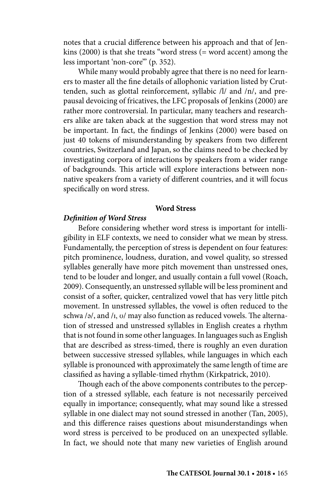notes that a crucial difference between his approach and that of Jenkins (2000) is that she treats "word stress (= word accent) among the less important 'non-core'" (p. 352).

While many would probably agree that there is no need for learners to master all the fine details of allophonic variation listed by Cruttenden, such as glottal reinforcement, syllabic /l/ and /n/, and prepausal devoicing of fricatives, the LFC proposals of Jenkins (2000) are rather more controversial. In particular, many teachers and researchers alike are taken aback at the suggestion that word stress may not be important. In fact, the findings of Jenkins (2000) were based on just 40 tokens of misunderstanding by speakers from two different countries, Switzerland and Japan, so the claims need to be checked by investigating corpora of interactions by speakers from a wider range of backgrounds. This article will explore interactions between nonnative speakers from a variety of different countries, and it will focus specifically on word stress.

#### **Word Stress**

# *Definition of Word Stress*

Before considering whether word stress is important for intelligibility in ELF contexts, we need to consider what we mean by stress. Fundamentally, the perception of stress is dependent on four features: pitch prominence, loudness, duration, and vowel quality, so stressed syllables generally have more pitch movement than unstressed ones, tend to be louder and longer, and usually contain a full vowel (Roach, 2009). Consequently, an unstressed syllable will be less prominent and consist of a softer, quicker, centralized vowel that has very little pitch movement. In unstressed syllables, the vowel is often reduced to the schwa /ə/, and /ɪ, ʊ/ may also function as reduced vowels. The alternation of stressed and unstressed syllables in English creates a rhythm that is not found in some other languages. In languages such as English that are described as stress-timed, there is roughly an even duration between successive stressed syllables, while languages in which each syllable is pronounced with approximately the same length of time are classified as having a syllable-timed rhythm (Kirkpatrick, 2010).

Though each of the above components contributes to the perception of a stressed syllable, each feature is not necessarily perceived equally in importance; consequently, what may sound like a stressed syllable in one dialect may not sound stressed in another (Tan, 2005), and this difference raises questions about misunderstandings when word stress is perceived to be produced on an unexpected syllable. In fact, we should note that many new varieties of English around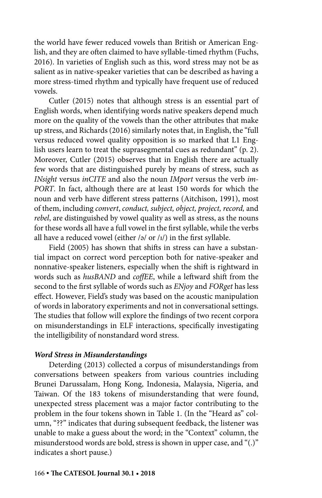the world have fewer reduced vowels than British or American English, and they are often claimed to have syllable-timed rhythm (Fuchs, 2016). In varieties of English such as this, word stress may not be as salient as in native-speaker varieties that can be described as having a more stress-timed rhythm and typically have frequent use of reduced vowels.

Cutler (2015) notes that although stress is an essential part of English words, when identifying words native speakers depend much more on the quality of the vowels than the other attributes that make up stress, and Richards (2016) similarly notes that, in English, the "full versus reduced vowel quality opposition is so marked that L1 English users learn to treat the suprasegmental cues as redundant" (p. 2). Moreover, Cutler (2015) observes that in English there are actually few words that are distinguished purely by means of stress, such as *INsight* versus *inCITE* and also the noun *IMport* versus the verb *im-PORT*. In fact, although there are at least 150 words for which the noun and verb have different stress patterns (Aitchison, 1991), most of them, including *convert*, *conduct, subject, object, project, record,* and *rebel*, are distinguished by vowel quality as well as stress, as the nouns for these words all have a full vowel in the first syllable, while the verbs all have a reduced vowel (either  $\frac{1}{2}$  or  $\frac{1}{1}$ ) in the first syllable.

Field (2005) has shown that shifts in stress can have a substantial impact on correct word perception both for native-speaker and nonnative-speaker listeners, especially when the shift is rightward in words such as *husBAND* and *coffEE*, while a leftward shift from the second to the first syllable of words such as *ENjoy* and *FORget* has less effect. However, Field's study was based on the acoustic manipulation of words in laboratory experiments and not in conversational settings. The studies that follow will explore the findings of two recent corpora on misunderstandings in ELF interactions, specifically investigating the intelligibility of nonstandard word stress.

#### *Word Stress in Misunderstandings*

Deterding (2013) collected a corpus of misunderstandings from conversations between speakers from various countries including Brunei Darussalam, Hong Kong, Indonesia, Malaysia, Nigeria, and Taiwan. Of the 183 tokens of misunderstanding that were found, unexpected stress placement was a major factor contributing to the problem in the four tokens shown in Table 1. (In the "Heard as" column, "??" indicates that during subsequent feedback, the listener was unable to make a guess about the word; in the "Context" column, the misunderstood words are bold, stress is shown in upper case, and "(.)" indicates a short pause.)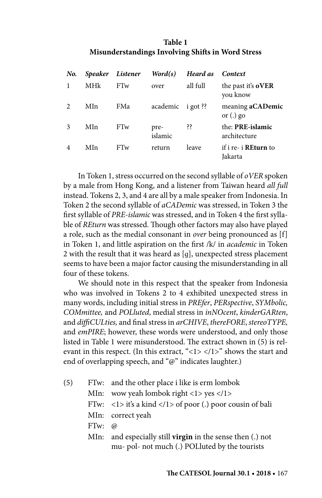# **Table 1 Misunderstandings Involving Shifts in Word Stress**

| No.           |     | Speaker Listener | Word(s)           | Heard as | Context                                |
|---------------|-----|------------------|-------------------|----------|----------------------------------------|
|               | MHk | <b>FTw</b>       | over              | all full | the past it's <b>oVER</b><br>you know  |
| $\mathcal{D}$ | MIn | FMa              | academic i got ?? |          | meaning aCADemic<br>or $(.)$ go        |
| 3             | MIn | <b>FTw</b>       | pre-<br>islamic   | šš.      | the: PRE-islamic<br>architecture       |
|               | MIn | <b>FTw</b>       | return            | leave    | if i re- i <b>REturn</b> to<br>Jakarta |

In Token 1, stress occurred on the second syllable of *oVER* spoken by a male from Hong Kong, and a listener from Taiwan heard *all full* instead. Tokens 2, 3, and 4 are all by a male speaker from Indonesia. In Token 2 the second syllable of *aCADemic* was stressed, in Token 3 the first syllable of *PRE-islamic* was stressed, and in Token 4 the first syllable of *REturn* was stressed. Though other factors may also have played a role, such as the medial consonant in *over* being pronounced as [f] in Token 1, and little aspiration on the first /k/ in *academic* in Token 2 with the result that it was heard as [ɡ], unexpected stress placement seems to have been a major factor causing the misunderstanding in all four of these tokens.

We should note in this respect that the speaker from Indonesia who was involved in Tokens 2 to 4 exhibited unexpected stress in many words, including initial stress in *PREfer*, *PERspective*, *SYMbolic, COMmittee,* and *POLluted*, medial stress in *inNOcent*, *kinderGARten*, and *diffiCULties,* and final stress in *arCHIVE*, *thereFORE*, *stereoTYPE,*  and *emPIRE*; however, these words were understood, and only those listed in Table 1 were misunderstood. The extract shown in (5) is relevant in this respect. (In this extract, "<1> </1>" shows the start and end of overlapping speech, and "@" indicates laughter.)

| (5) |               | FTw: and the other place i like is erm lombok                                            |
|-----|---------------|------------------------------------------------------------------------------------------|
|     |               | MIn: wow yeah lombok right <1> yes 1                                                     |
|     |               | FTw: $\langle 1 \rangle$ it's a kind $\langle 1 \rangle$ of poor (.) poor cousin of bali |
|     |               | MIn: correct yeah                                                                        |
|     | FTw: $\omega$ |                                                                                          |
|     | Mln:          | and especially still <b>virgin</b> in the sense then (.) not                             |
|     |               | mu- pol- not much (.) POLluted by the tourists                                           |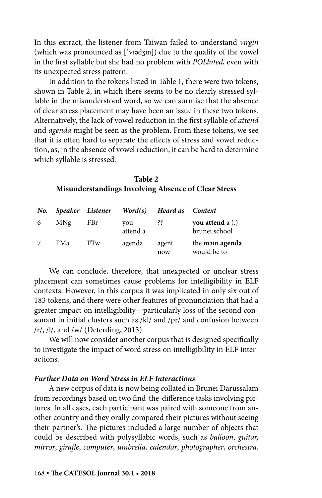In this extract, the listener from Taiwan failed to understand *virgin*  (which was pronounced as [ˈvɪədʒɪn]) due to the quality of the vowel in the first syllable but she had no problem with *POLluted*, even with its unexpected stress pattern.

In addition to the tokens listed in Table 1, there were two tokens, shown in Table 2, in which there seems to be no clearly stressed syllable in the misunderstood word, so we can surmise that the absence of clear stress placement may have been an issue in these two tokens. Alternatively, the lack of vowel reduction in the first syllable of *attend*  and *agenda* might be seen as the problem. From these tokens, we see that it is often hard to separate the effects of stress and vowel reduction, as, in the absence of vowel reduction, it can be hard to determine which syllable is stressed.

#### **Table 2 Misunderstandings Involving Absence of Clear Stress**

| No. |                 | Speaker Listener | Word(s)         | Heard as Context |                                   |
|-----|-----------------|------------------|-----------------|------------------|-----------------------------------|
| 6   | M <sub>Ng</sub> | FBr              | vou<br>attend a | šš.              | you attend a (.)<br>brunei school |
|     | FMa             | FTw              | agenda          | agent<br>now     | the main agenda<br>would be to    |

We can conclude, therefore, that unexpected or unclear stress placement can sometimes cause problems for intelligibility in ELF contexts. However, in this corpus it was implicated in only six out of 183 tokens, and there were other features of pronunciation that had a greater impact on intelligibility—particularly loss of the second consonant in initial clusters such as /kl/ and /pr/ and confusion between  $/r/$ ,  $/l/$ , and  $/w/$  (Deterding, 2013).

We will now consider another corpus that is designed specifically to investigate the impact of word stress on intelligibility in ELF interactions.

### *Further Data on Word Stress in ELF Interactions*

A new corpus of data is now being collated in Brunei Darussalam from recordings based on two find-the-difference tasks involving pictures. In all cases, each participant was paired with someone from another country and they orally compared their pictures without seeing their partner's. The pictures included a large number of objects that could be described with polysyllabic words, such as *balloon*, *guitar, mirror*, *giraffe*, *computer*, *umbrella*, *calendar*, *photographer*, *orchestra*,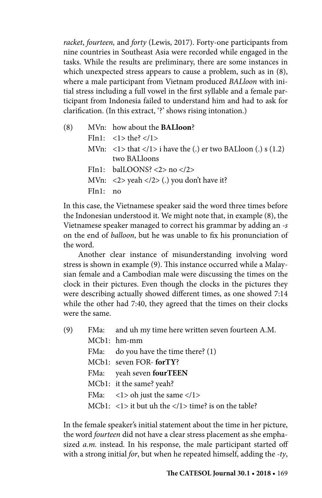*racket*, *fourteen,* and *forty* (Lewis, 2017). Forty-one participants from nine countries in Southeast Asia were recorded while engaged in the tasks. While the results are preliminary, there are some instances in which unexpected stress appears to cause a problem, such as in (8), where a male participant from Vietnam produced *BALloon* with initial stress including a full vowel in the first syllable and a female participant from Indonesia failed to understand him and had to ask for clarification. (In this extract, '?' shows rising intonation.)

(8) MVn: how about the **BALloon**?  $FIn1: <1>the$ ? </1> MVn:  $\langle$ 1> that  $\langle$ 1> i have the (.) er two BALloon (.) s (1.2) two BALloons FIn1: balLOONS? <2> no </2> MVn:  $\langle 2 \rangle$  yeah  $\langle 2 \rangle$  (.) you don't have it? FIn1: no

In this case, the Vietnamese speaker said the word three times before the Indonesian understood it. We might note that, in example (8), the Vietnamese speaker managed to correct his grammar by adding an *-s*  on the end of *balloon*, but he was unable to fix his pronunciation of the word.

Another clear instance of misunderstanding involving word stress is shown in example (9). This instance occurred while a Malaysian female and a Cambodian male were discussing the times on the clock in their pictures. Even though the clocks in the pictures they were describing actually showed different times, as one showed 7:14 while the other had 7:40, they agreed that the times on their clocks were the same.

| (9) | FMa: and uh my time here written seven fourteen A.M.          |
|-----|---------------------------------------------------------------|
|     | MCb1: hm-mm                                                   |
|     | FMa: do you have the time there? (1)                          |
|     | MCb1: seven FOR-forTY?                                        |
|     | FMa: yeah seven fourTEEN                                      |
|     | MCb1: it the same? yeah?                                      |
|     | FMa: $\langle 1 \rangle$ oh just the same $\langle 1 \rangle$ |
|     | MCb1: <1> it but uh the 1 time? is on the table?              |

In the female speaker's initial statement about the time in her picture, the word *fourteen* did not have a clear stress placement as she emphasized *a.m.* instead. In his response, the male participant started off with a strong initial *for*, but when he repeated himself, adding the *-ty*,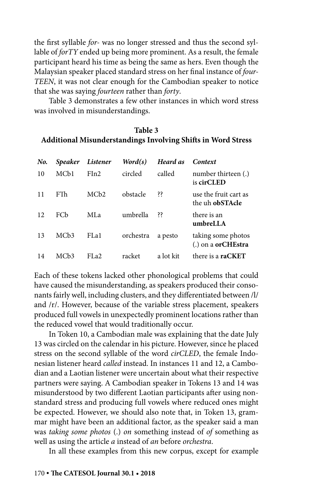the first syllable *for-* was no longer stressed and thus the second syllable of *forTY* ended up being more prominent. As a result, the female participant heard his time as being the same as hers. Even though the Malaysian speaker placed standard stress on her final instance of *four-TEEN*, it was not clear enough for the Cambodian speaker to notice that she was saying *fourteen* rather than *forty*.

Table 3 demonstrates a few other instances in which word stress was involved in misunderstandings.

### **Table 3 Additional Misunderstandings Involving Shifts in Word Stress**

| No. | <b>Speaker</b>    | Listener          | Word(s)   | Heard as  | Context                                           |
|-----|-------------------|-------------------|-----------|-----------|---------------------------------------------------|
| 10  | MC <sub>b</sub> 1 | Fin2              | circled   | called    | number thirteen (.)<br>is cirCLED                 |
| 11  | FTh               | MCb2              | obstacle  | śś.       | use the fruit cart as<br>the uh <b>obSTAcle</b>   |
| 12  | FCb               | ML <sub>a</sub>   | umbrella  | śś        | there is an<br>umbreLLA                           |
| 13  | MC <sub>b</sub> 3 | FL <sub>a</sub> 1 | orchestra | a pesto   | taking some photos<br>$(.)$ on a <b>orCHEstra</b> |
| 14  | MC <sub>b</sub> 3 | FI.22             | racket    | a lot kit | there is a <b>raCKET</b>                          |

Each of these tokens lacked other phonological problems that could have caused the misunderstanding, as speakers produced their consonants fairly well, including clusters, and they differentiated between /l/ and /r/. However, because of the variable stress placement, speakers produced full vowels in unexpectedly prominent locations rather than the reduced vowel that would traditionally occur.

In Token 10, a Cambodian male was explaining that the date July 13 was circled on the calendar in his picture. However, since he placed stress on the second syllable of the word *cirCLED*, the female Indonesian listener heard *called* instead. In instances 11 and 12, a Cambodian and a Laotian listener were uncertain about what their respective partners were saying. A Cambodian speaker in Tokens 13 and 14 was misunderstood by two different Laotian participants after using nonstandard stress and producing full vowels where reduced ones might be expected. However, we should also note that, in Token 13, grammar might have been an additional factor, as the speaker said a man was *taking some photos* (.) *on* something instead of *of* something as well as using the article *a* instead of *an* before *orchestra*.

In all these examples from this new corpus, except for example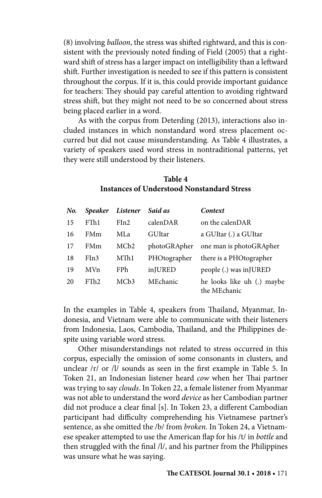(8) involving *balloon*, the stress was shifted rightward, and this is consistent with the previously noted finding of Field (2005) that a rightward shift of stress has a larger impact on intelligibility than a leftward shift. Further investigation is needed to see if this pattern is consistent throughout the corpus. If it is, this could provide important guidance for teachers: They should pay careful attention to avoiding rightward stress shift, but they might not need to be so concerned about stress being placed earlier in a word.

As with the corpus from Deterding (2013), interactions also included instances in which nonstandard word stress placement occurred but did not cause misunderstanding. As Table 4 illustrates, a variety of speakers used word stress in nontraditional patterns, yet they were still understood by their listeners.

# **Table 4 Instances of Understood Nonstandard Stress**

| No. | <b>Speaker</b> | Listener          | Said as      | Context                                    |
|-----|----------------|-------------------|--------------|--------------------------------------------|
| 15  | FTh1           | Fin2              | calenDAR     | on the calenDAR                            |
| 16  | FMm            | MLa               | GUItar       | a GUItar (.) a GUItar                      |
| 17  | FMm            | MCb <sub>2</sub>  | photoGRApher | one man is photoGRApher                    |
| 18  | FIn3           | MTh1              | PHOtographer | there is a PHOtographer                    |
| 19  | <b>MVn</b>     | <b>FPh</b>        | inJURED      | people (.) was in JURED                    |
| 20  | FTh2           | MC <sub>b</sub> 3 | MEchanic     | he looks like uh (.) maybe<br>the MEchanic |

In the examples in Table 4, speakers from Thailand, Myanmar, Indonesia, and Vietnam were able to communicate with their listeners from Indonesia, Laos, Cambodia, Thailand, and the Philippines despite using variable word stress.

Other misunderstandings not related to stress occurred in this corpus, especially the omission of some consonants in clusters, and unclear /r/ or /l/ sounds as seen in the first example in Table 5. In Token 21, an Indonesian listener heard *cow* when her Thai partner was trying to say *clouds*. In Token 22, a female listener from Myanmar was not able to understand the word *device* as her Cambodian partner did not produce a clear final [s]. In Token 23, a different Cambodian participant had difficulty comprehending his Vietnamese partner's sentence, as she omitted the /b/ from *broken*. In Token 24, a Vietnamese speaker attempted to use the American flap for his /t/ in *bottle* and then struggled with the final /l/, and his partner from the Philippines was unsure what he was saying.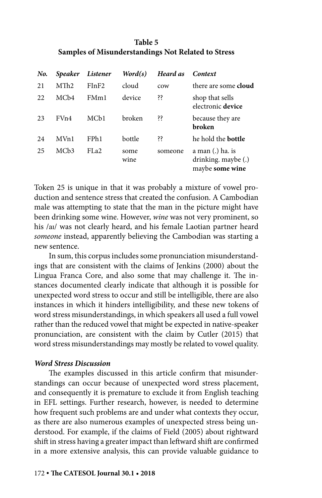# **Table 5 Samples of Misunderstandings Not Related to Stress**

| No. | <b>Speaker</b>    | Listener          | Word(s)      | Heard as | Context                                                    |
|-----|-------------------|-------------------|--------------|----------|------------------------------------------------------------|
| 21  | MTh <sub>2</sub>  | FInF2             | cloud        | cow      | there are some <b>cloud</b>                                |
| 22. | MC <sub>b</sub> 4 | FMm1              | device       | šš.      | shop that sells<br>electronic device                       |
| 23  | FV <sub>n4</sub>  | MC <sub>b1</sub>  | broken       | šš.      | because they are<br>broken                                 |
| 24  | MVn1              | FP <sub>h1</sub>  | bottle       | šš.      | he hold the <b>bottle</b>                                  |
| 25  | MC <sub>b</sub> 3 | FL <sub>a</sub> 2 | some<br>wine | someone  | a man (.) ha. is<br>drinking. maybe (.)<br>maybe some wine |

Token 25 is unique in that it was probably a mixture of vowel production and sentence stress that created the confusion. A Cambodian male was attempting to state that the man in the picture might have been drinking some wine. However, *wine* was not very prominent, so his /aɪ/ was not clearly heard, and his female Laotian partner heard *someone* instead, apparently believing the Cambodian was starting a new sentence.

In sum, this corpus includes some pronunciation misunderstandings that are consistent with the claims of Jenkins (2000) about the Lingua Franca Core, and also some that may challenge it. The instances documented clearly indicate that although it is possible for unexpected word stress to occur and still be intelligible, there are also instances in which it hinders intelligibility, and these new tokens of word stress misunderstandings, in which speakers all used a full vowel rather than the reduced vowel that might be expected in native-speaker pronunciation, are consistent with the claim by Cutler (2015) that word stress misunderstandings may mostly be related to vowel quality.

### *Word Stress Discussion*

The examples discussed in this article confirm that misunderstandings can occur because of unexpected word stress placement, and consequently it is premature to exclude it from English teaching in EFL settings. Further research, however, is needed to determine how frequent such problems are and under what contexts they occur, as there are also numerous examples of unexpected stress being understood. For example, if the claims of Field (2005) about rightward shift in stress having a greater impact than leftward shift are confirmed in a more extensive analysis, this can provide valuable guidance to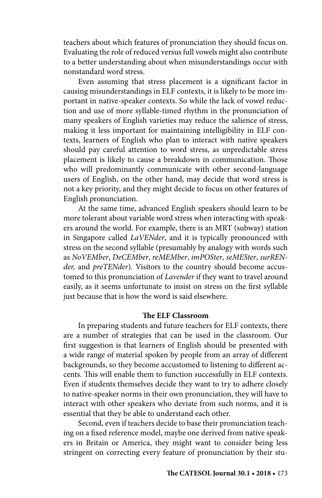teachers about which features of pronunciation they should focus on. Evaluating the role of reduced versus full vowels might also contribute to a better understanding about when misunderstandings occur with nonstandard word stress.

Even assuming that stress placement is a significant factor in causing misunderstandings in ELF contexts, it is likely to be more important in native-speaker contexts. So while the lack of vowel reduction and use of more syllable-timed rhythm in the pronunciation of many speakers of English varieties may reduce the salience of stress, making it less important for maintaining intelligibility in ELF contexts, learners of English who plan to interact with native speakers should pay careful attention to word stress, as unpredictable stress placement is likely to cause a breakdown in communication. Those who will predominantly communicate with other second-language users of English, on the other hand, may decide that word stress is not a key priority, and they might decide to focus on other features of English pronunciation.

At the same time, advanced English speakers should learn to be more tolerant about variable word stress when interacting with speakers around the world. For example, there is an MRT (subway) station in Singapore called *LaVENder*, and it is typically pronounced with stress on the second syllable (presumably by analogy with words such as *NoVEMber*, *DeCEMber*, *reMEMber*, *imPOSter*, *seMESter*, *surRENder,* and *preTENder*)*.* Visitors to the country should become accustomed to this pronunciation of *Lavender* if they want to travel around easily, as it seems unfortunate to insist on stress on the first syllable just because that is how the word is said elsewhere.

#### **The ELF Classroom**

In preparing students and future teachers for ELF contexts, there are a number of strategies that can be used in the classroom. Our first suggestion is that learners of English should be presented with a wide range of material spoken by people from an array of different backgrounds, so they become accustomed to listening to different accents. This will enable them to function successfully in ELF contexts. Even if students themselves decide they want to try to adhere closely to native-speaker norms in their own pronunciation, they will have to interact with other speakers who deviate from such norms, and it is essential that they be able to understand each other.

Second, even if teachers decide to base their pronunciation teaching on a fixed reference model, maybe one derived from native speakers in Britain or America, they might want to consider being less stringent on correcting every feature of pronunciation by their stu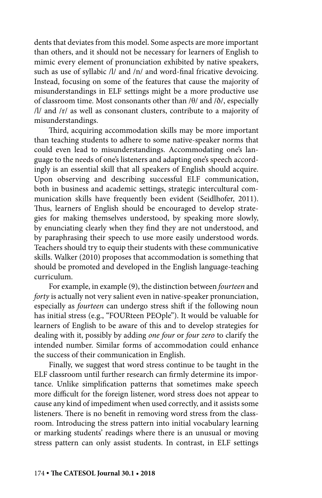dents that deviates from this model. Some aspects are more important than others, and it should not be necessary for learners of English to mimic every element of pronunciation exhibited by native speakers, such as use of syllabic /l/ and /n/ and word-final fricative devoicing. Instead, focusing on some of the features that cause the majority of misunderstandings in ELF settings might be a more productive use of classroom time. Most consonants other than /θ/ and /ð/, especially /l/ and /r/ as well as consonant clusters, contribute to a majority of misunderstandings.

Third, acquiring accommodation skills may be more important than teaching students to adhere to some native-speaker norms that could even lead to misunderstandings. Accommodating one's language to the needs of one's listeners and adapting one's speech accordingly is an essential skill that all speakers of English should acquire. Upon observing and describing successful ELF communication, both in business and academic settings, strategic intercultural communication skills have frequently been evident (Seidlhofer, 2011). Thus, learners of English should be encouraged to develop strategies for making themselves understood, by speaking more slowly, by enunciating clearly when they find they are not understood, and by paraphrasing their speech to use more easily understood words. Teachers should try to equip their students with these communicative skills. Walker (2010) proposes that accommodation is something that should be promoted and developed in the English language-teaching curriculum.

For example, in example (9), the distinction between *fourteen* and *forty* is actually not very salient even in native-speaker pronunciation, especially as *fourteen* can undergo stress shift if the following noun has initial stress (e.g., "FOURteen PEOple"). It would be valuable for learners of English to be aware of this and to develop strategies for dealing with it, possibly by adding *one four* or *four zero* to clarify the intended number. Similar forms of accommodation could enhance the success of their communication in English.

Finally, we suggest that word stress continue to be taught in the ELF classroom until further research can firmly determine its importance. Unlike simplification patterns that sometimes make speech more difficult for the foreign listener, word stress does not appear to cause any kind of impediment when used correctly, and it assists some listeners. There is no benefit in removing word stress from the classroom. Introducing the stress pattern into initial vocabulary learning or marking students' readings where there is an unusual or moving stress pattern can only assist students. In contrast, in ELF settings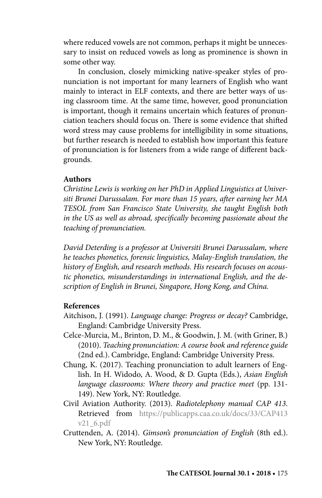where reduced vowels are not common, perhaps it might be unnecessary to insist on reduced vowels as long as prominence is shown in some other way.

In conclusion, closely mimicking native-speaker styles of pronunciation is not important for many learners of English who want mainly to interact in ELF contexts, and there are better ways of using classroom time. At the same time, however, good pronunciation is important, though it remains uncertain which features of pronunciation teachers should focus on. There is some evidence that shifted word stress may cause problems for intelligibility in some situations, but further research is needed to establish how important this feature of pronunciation is for listeners from a wide range of different backgrounds.

#### **Authors**

*Christine Lewis is working on her PhD in Applied Linguistics at Universiti Brunei Darussalam. For more than 15 years, after earning her MA TESOL from San Francisco State University, she taught English both in the US as well as abroad, specifically becoming passionate about the teaching of pronunciation.*

*David Deterding is a professor at Universiti Brunei Darussalam, where he teaches phonetics, forensic linguistics, Malay-English translation, the history of English, and research methods. His research focuses on acoustic phonetics, misunderstandings in international English, and the description of English in Brunei, Singapore, Hong Kong, and China.*

### **References**

- Aitchison, J. (1991). *Language change: Progress or decay?* Cambridge, England: Cambridge University Press.
- Celce-Murcia, M., Brinton, D. M., & Goodwin, J. M. (with Griner, B.) (2010). *Teaching pronunciation: A course book and reference guide* (2nd ed.). Cambridge, England: Cambridge University Press.
- Chung, K. (2017). Teaching pronunciation to adult learners of English. In H. Widodo, A. Wood, & D. Gupta (Eds.), *Asian English language classrooms: Where theory and practice meet* (pp. 131- 149). New York, NY: Routledge.
- Civil Aviation Authority. (2013). *Radiotelephony manual CAP 413*. Retrievedfrom [https://publicapps.caa.co.uk/docs/33/CAP413](https://publicapps.caa.co.uk/docs/33/CAP413v21_6.pdf)  [v21\\_6.pdf](https://publicapps.caa.co.uk/docs/33/CAP413v21_6.pdf)
- Cruttenden, A. (2014). *Gimson's pronunciation of English* (8th ed.). New York, NY: Routledge.